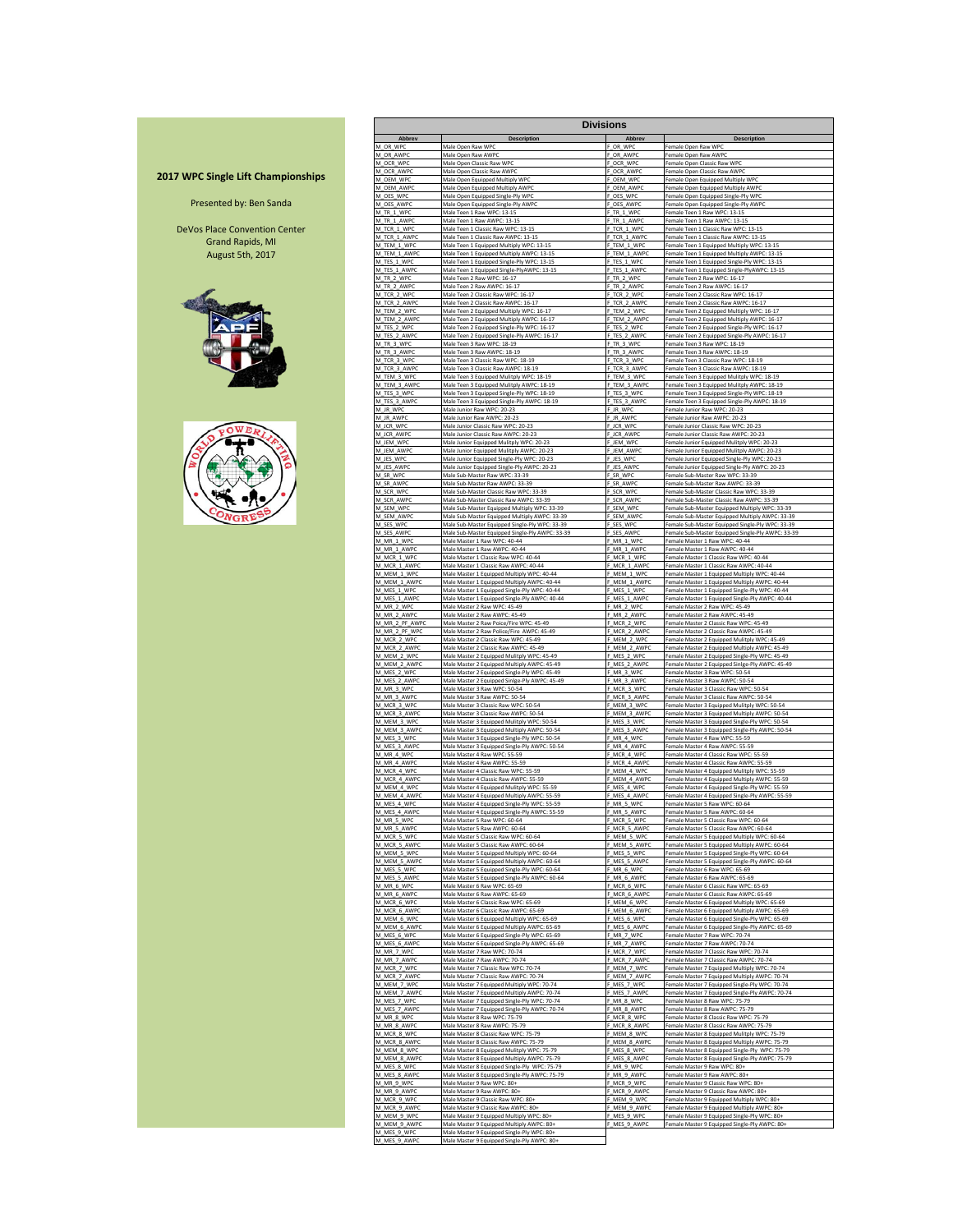## **2017 WPC Single Lift Championships**

## Presented by: Ben Sanda

DeVos Place Convention Center Grand Rapids, MI August 5th, 2017





|                              |                                                                                                 | Divisions                      |                                                                                                     |
|------------------------------|-------------------------------------------------------------------------------------------------|--------------------------------|-----------------------------------------------------------------------------------------------------|
| Abbrev<br>M OR WPC           | Description                                                                                     | Abbrev                         | <b>Description</b>                                                                                  |
| M OR AWP                     | Male Open Raw WPC<br>Male Open Raw AWP                                                          | F_OR_WPC<br>F OR AWP           | Female Open Raw WPC<br>Female Open Raw AWP                                                          |
| M_OCR_WPO                    | Male Open Classic Raw WPO<br>Male Open Classic Raw AWPO                                         | F_OCR_WPO                      | Female Open Classic Raw WPO                                                                         |
| M OCR AWPO<br>M OEM WPO      | Male Open Equipped Multiply WPC                                                                 | F OCR AWPO<br>F OEM WP         | Female Open Classic Raw AWPO<br>Female Open Equipped Multiply WPC                                   |
| M OEM AWPO                   | Male Open Equipped Multiply AWP                                                                 | F OEM AWP                      | Female Open Equipped Multiply AWP                                                                   |
| M_OES_WPO<br>M OES AWPO      | Male Open Equipped Single-Ply WP<br>Male Open Equipped Single-Ply AWPC                          | F_OES_WPC<br>F OES AWPO        | Female Open Equipped Single-Ply WP<br>Female Open Equipped Single-Ply AWPC                          |
| M_TR_1_WPC<br>M TR 1 AWPO    | Male Teen 1 Raw WPC: 13-15<br>Male Teen 1 Raw AWPC: 13-15                                       | F_TR_1_WPC<br>F TR 1 AWP       | Female Teen 1 Raw WPC: 13-15<br>Female Teen 1 Raw AWPC: 13-19                                       |
| M_TCR_1_WPC                  | Male Teen 1 Classic Raw WPC: 13-15                                                              | F_TCR_1_WPC                    | Female Teen 1 Classic Raw WPC: 13-15                                                                |
| M TCR 1 AWP                  | Male Teen 1 Classic Raw AWPC: 13-15                                                             | F_TCR_1_AWP(<br>F              | Female Teen 1 Classic Raw AWPC: 13-1!                                                               |
| M_TEM_1_WPC<br>M TEM 1 AWP   | Male Teen 1 Equipped Multiply WPC: 13-15<br>Male Teen 1 Equipped Multiply AWPC: 13-15           | TEM_1_WPC<br>TEM_1_AWPO        | Female Teen 1 Equipped Multiply WPC: 13-15<br>Female Teen 1 Equipped Multiply AWPC: 13-15           |
| M_TES_1_WPC<br>M TES 1 AWPO  | Male Teen 1 Equipped Single-Ply WPC: 13-15                                                      | F_TES_1_WPC<br>F TES 1 AWPO    | Female Teen 1 Equipped Single-Ply WPC: 13-15                                                        |
| M_TR_2_WPC                   | Male Teen 1 Equipped Single-PlyAWPC: 13-15<br>Male Teen 2 Raw WPC: 16-17                        | F_TR_2_WPC                     | Female Teen 1 Equipped Single-PlyAWPC: 13-15<br>Female Teen 2 Raw WPC: 16-17                        |
| M TR 2 AWPO<br>M TCR 2 WPC   | Male Teen 2 Raw AWPC: 16-17                                                                     | TR 2 AWPO                      | Female Teen 2 Raw AWPC: 16-17                                                                       |
| M TCR 2 AWPO                 | Male Teen 2 Classic Raw WPC: 16-17<br>Male Teen 2 Classic Raw AWPC: 16-17                       | TCR 2 WPC<br>F TCR 2 AWP       | Female Teen 2 Classic Raw WPC: 16-17<br>Female Teen 2 Classic Raw AWPC: 16-17                       |
| M_TEM_2_WPC<br>M TEM 2 AWPO  | Male Teen 2 Equipped Multiply WPC: 16-17                                                        | F_TEM_2_WPC<br>TEM 2 AWP       | Female Teen 2 Equipped Multiply WPC: 16-17                                                          |
| M_TES_2_WPC                  | Male Teen 2 Equipped Multiply AWPC: 16-17<br>Male Teen 2 Equipped Single-Ply WPC: 16-17         | TES 2 WPC                      | Female Teen 2 Equipped Multiply AWPC: 16-17<br>Female Teen 2 Equipped Single-Ply WPC: 16-17         |
| M TES 2 AWPC<br>M TR 3 WPC   | Male Teen 2 Equipped Single-Ply AWPC: 16-17                                                     | F TES 2 AWPO<br>F TR 3 WPC     | Female Teen 2 Equipped Single-Ply AWPC: 16-17                                                       |
| M_TR_3_AWPO                  | Male Teen 3 Raw WPC: 18-19<br>Male Teen 3 Raw AWPC: 18-19                                       | F_TR_3_AWPO                    | Female Teen 3 Raw WPC: 18-19<br>Female Teen 3 Raw AWPC: 18-19                                       |
| M TCR 3 WPC                  | Male Teen 3 Classic Raw WPC: 18-19                                                              | F TCR 3 WP                     | Female Teen 3 Classic Raw WPC: 18-19                                                                |
| M_TCR_3_AWPO<br>M TEM 3 WPC  | Male Teen 3 Classic Raw AWPC: 18-19<br>Male Teen 3 Equipped Mulitply WPC: 18-19                 | F_TCR_3_AWP<br>F TEM 3 WPC     | Female Teen 3 Classic Raw AWPC: 18-19<br>Female Teen 3 Equipped Mulitply WPC: 18-19                 |
| M TEM 3 AWPO<br>M_TES_3_WPO  | Male Teen 3 Equipped Mulitply AWPC: 18-19                                                       | F_TEM_3_AWPC<br>F_TES_3_WPO    | Female Teen 3 Equipped Mulitply AWPC: 18-19                                                         |
| M TES 3 AWPO                 | Male Teen 3 Equipped Single-Ply WPC: 18-19<br>Male Teen 3 Equipped Single-Ply AWPC: 18-19       | F_TES_3_AWPC                   | Female Teen 3 Equipped Single-Ply WPC: 18-19<br>Female Teen 3 Equipped Single-Ply AWPC: 18-19       |
| M JR WPC                     | Male Junior Raw WPC: 20-23                                                                      | F_JR_WPC<br>JR AWPC            | Female Junior Raw WPC: 20-23                                                                        |
| M_JR_AWPC<br>M_JCR_WPC       | Male Junior Raw AWPC: 20-23<br>Male Junior Classic Raw WPC: 20-23                               | JCR_WPO                        | Female Junior Raw AWPC: 20-23<br>Female Junior Classic Raw WPC: 20-23                               |
| M_JCR_AWPO                   | Male Junior Classic Raw AWPC: 20-23                                                             | JCR_AWPO                       | Female Junior Classic Raw AWPC: 20-23                                                               |
| M JEM WPC<br>M JEM AWPO      | Male Junior Equipped Mulitply WPC: 20-23<br>Male Junior Equipped Mulitply AWPC: 20-23           | F JEM WPC<br>F JEM AWPO        | Female Junior Equipped Mulitply WPC: 20-23<br>Female Junior Equipped Mulitply AWPC: 20-23           |
| M JES WPO                    | Male Junior Equipped Single-Ply WPC: 20-23                                                      | F_JES_WPC                      | Female Junior Equipped Single-Ply WPC: 20-23                                                        |
| M JES AWPO<br>M SR WPC       | Male Junior Equipped Single-Ply AWPC: 20-23<br>Male Sub-Master Raw WPC: 33-39                   | F JES AWPO<br>F SR WPC         | Female Junior Equipped Single-Ply AWPC: 20-23<br>Female Sub-Master Raw WPC: 33-39                   |
| M SR AWPO                    | Male Sub-Master Raw AWPC: 33-39                                                                 | F SR AWPO                      | Female Sub-Master Raw AWPC: 33-39                                                                   |
| M SCR WPC<br>M SCR AWP       | Male Sub-Master Classic Raw WPC: 33-39<br>Male Sub-Master Classic Raw AWPC: 33-39               | F_SCR_WPC<br>F SCR AWPO        | Female Sub-Master Classic Raw WPC: 33-39<br>Female Sub-Master Classic Raw AWPC: 33-39               |
| M SEM WPC<br>M_SEM_AWPC      | Male Sub-Master Equipped Multiply WPC: 33-39                                                    | F SEM WPC<br>F SEM AWPO        | Female Sub-Master Equipped Multiply WPC: 33-39                                                      |
| M_SES_WPC                    | Male Sub-Master Equipped Multiply AWPC: 33-39<br>Male Sub-Master Equipped Single-Ply WPC: 33-39 | F_SES_WPC                      | Female Sub-Master Equipped Multiply AWPC: 33-39<br>Female Sub-Master Equipped Single-Ply WPC: 33-39 |
| M SES AWPC<br>M MR 1 WP      | Male Sub-Master Equipped Single-Ply AWPC: 33-39                                                 | F SES AWPC<br>F MR 1 WPO       | Female Sub-Master Equipped Single-Ply AWPC: 33-39                                                   |
| M_MR_1_AWPC                  | Male Master 1 Raw WPC: 40-44<br>Male Master 1 Raw AWPC: 40-44                                   | F MR 1 AWPO                    | Female Master 1 Raw WPC: 40-44<br>Female Master 1 Raw AWPC: 40-44                                   |
| M_MCR_1_WPC<br>M MCR 1 AWP   | Male Master 1 Classic Raw WPC: 40-44<br>Male Master 1 Classic Raw AWPC: 40-44                   | F MCR 1 WPO<br>F MCR 1 AWP     | Female Master 1 Classic Raw WPC: 40-44<br>Female Master 1 Classic Raw AWPC: 40-44                   |
| M_MEM_1_WPC                  | Male Master 1 Equipped Multiply WPC: 40-44                                                      | F_MEM_1_WPO                    | Female Master 1 Equipped Multiply WPC: 40-44                                                        |
| M MEM 1 AWPO<br>M_MES_1_WPC  | Male Master 1 Equipped Multiply AWPC: 40-44<br>Male Master 1 Equipped Single-Ply WPC: 40-44     | F MEM 1 AWP<br>F_MES_1_WPC     | Female Master 1 Equipped Multiply AWPC: 40-44<br>Female Master 1 Equipped Single-Ply WPC: 40-44     |
| M MES 1 AWP                  | Male Master 1 Equipped Single-Ply AWPC                                                          | F MES 1 AWP                    | Female Master 1 Equipped Single-Ply AWPC: 40-44                                                     |
| M_MR_2_WPC<br>M_MR_2_AWPC    | Male Master 2 Raw WPC: 45-49<br>Male Master 2 Raw AWPC: 45-49                                   | F_MR_2_WPC<br>F_MR_2_AWPC      | Female Master 2 Raw WPC: 45-49<br>Female Master 2 Raw AWPC: 45-49                                   |
| M_MR_2_PF_AWPO               | Male Master 2 Raw Poice/Fire WPC: 45-49                                                         | MCR_2_WPC                      | Female Master 2 Classic Raw WPC: 45-49                                                              |
| M_MR_2_PF_WPC<br>M MCR 2 WPC | Male Master 2 Raw Police/Fire AWPC: 45-49<br>Male Master 2 Classic Raw WPC: 45-49               | MCR_2_AWP<br>F MEM 2 WPC       | Female Master 2 Classic Raw AWPC: 45-49<br>Female Master 2 Equipped Mulitply WPC: 45-49             |
| M MCR 2 AWPO                 | Male Master 2 Classic Raw AWPC: 45-49                                                           | F_MEM_2_AWPO                   | Female Master 2 Equipped Multiply AWPC: 45-49                                                       |
| M_MEM_2_WPC<br>M MEM 2 AWPO  | Male Master 2 Equipped Mulitply WPC: 45-49<br>Male Master 2 Equipped Multiply AWPC: 45-49       | F_MES_2_WPC<br>F MES 2 AWPO    | Female Master 2 Equipped Single-Ply WPC: 45-49                                                      |
| M MES 2 WPC                  | Male Master 2 Equipped Single-Ply WPC: 45-49                                                    | F MR 3 WPC                     | Female Master 2 Equipped Sinlge-Ply AWPC: 45-49<br>Female Master 3 Raw WPC: 50-54                   |
| M MES 2 AWPO<br>M_MR_3_WPC   | Male Master 2 Equipped Sinlge-Ply AWPC: 45-49<br>Male Master 3 Raw WPC: 50-54                   | F MR 3 AWPC<br>F_MCR_3_WPC     | Female Master 3 Raw AWPC: 50-54<br>Female Master 3 Classic Raw WPC: 50-54                           |
| M MR 3 AWPO                  | Male Master 3 Raw AWPC: 50-54                                                                   | F MCR 3 AWP                    | Female Master 3 Classic Raw AWPC: 50-54                                                             |
| M MCR 3 WPC<br>M MCR 3 AWPO  | Male Master 3 Classic Raw WPC: 50-54<br>Male Master 3 Classic Raw AWPC: 50-54                   | F MEM 3 WPC<br>F_MEM_3_AWP     | Female Master 3 Equipped Mulitply WPC: 50-54<br>Female Master 3 Equipped Multiply AWPC: 50-54       |
| M_MEM_3_WPC                  | Male Master 3 Equipped Mulitply WPC: 50-54                                                      | F_MES_3_WPC                    | Female Master 3 Equipped Single-Ply WPC: 50-54                                                      |
| M MEM 3 AWPO<br>M MES 3 WPO  | Male Master 3 Equipped Multiply AWPC: 50-54<br>Male Master 3 Equipped Single-Ply WPC: 50-54     | F_MES_3_AWPC<br>F MR 4 WPO     | Female Master 3 Equipped Single-Ply AWPC: 50-54<br>Female Master 4 Raw WPC: 55-59                   |
| M MES 3 AWPO                 | Male Master 3 Equipped Single-Ply AWPC: 50-54                                                   | F MR 4 AWP                     | Female Master 4 Raw AWPC: 55-59                                                                     |
| M MR 4 WPC<br>M MR 4 AWPO    | Male Master 4 Raw WPC: 55-59<br>Male Master 4 Raw AWPC: 55-59                                   | F MCR 4 WPC<br>F MCR 4 AWP     | Female Master 4 Classic Raw WPC: 55-59<br>Female Master 4 Classic Raw AWPC: 55-59                   |
| M MCR 4 WP                   | Male Master 4 Classic Raw WPC: 55-59                                                            | F MEM 4 WPO                    | Female Master 4 Equipped Mulitply WPC: 55-59                                                        |
| M MCR 4 AWP<br>M_MEM_4_WPC   | Male Master 4 Classic Raw AWPC: 55-59<br>Male Master 4 Equipped Mulitply WPC: 55-59             | F MEM 4 AWP<br>F_MES_4_WPC     | Female Master 4 Equipped Multiply AWPC: 55-59<br>Female Master 4 Equipped Single-Ply WPC: 55-59     |
| M_MEM_4_AWPC                 | Male Master 4 Equipped Multiply AWPC: 55-59                                                     | MES_4_AWPC                     | Female Master 4 Equipped Single-Ply AWPC: 55-59                                                     |
| M_MES_4_WPC<br>M_MES_4_AWPC  | Male Master 4 Equipped Single-Ply WPC: 55-59<br>Male Master 4 Equipped Single-Ply AWPC: 55-59   | MR_5_WPC<br>MR_5_AWPC          | Female Master 5 Raw WPC: 60-64<br>Female Master 5 Raw AWPC: 60-64                                   |
| M MR 5 WPC                   | Male Master 5 Raw WPC: 60-64                                                                    | MCR 5 WP                       | Female Master 5 Classic Raw WPC: 60-6                                                               |
| M_MR_5_AWPC<br>M MCR 5 WPC   | Male Master 5 Raw AWPC: 60-64<br>Male Master 5 Classic Raw WPC: 60-64                           | F_MCR_5_AWPC<br>MEM 5 WPC      | Female Master 5 Classic Raw AWPC: 60-64<br>Female Master 5 Equipped Multiply WPC: 60-64             |
| M MCR 5 AWPC                 | Male Master 5 Classic Raw AWPC: 60-64                                                           | MEM 5 AWPC                     | Female Master 5 Equipped Multiply AWPC: 60-64                                                       |
| M MEM 5 WPC<br>M_MEM_5_AWPC  | Male Master 5 Equipped Multiply WPC: 60-64<br>Male Master 5 Equipped Multiply AWPC: 60-64       | F_MES_5_WPC<br>F_MES_5_AWPC    | Female Master 5 Equipped Single-Ply WPC: 60-64<br>Female Master 5 Equipped Single-Ply AWPC: 60-64   |
| M_MES_5_WPC                  | Male Master 5 Equipped Single-Ply WPC: 60-64                                                    | MR 6 WPC                       | Female Master 6 Raw WPC: 65-69                                                                      |
| M MES 5 AWPC<br>M MR 6 WPC   | Male Master 5 Equipped Single-Ply AWPC: 60-64<br>Male Master 6 Raw WPC: 65-69                   | F MR 6 AWPC<br>F MCR 6 WPC     | Female Master 6 Raw AWPC: 65-69<br>Female Master 6 Classic Raw WPC: 65-69                           |
| M MR 6 AWPC                  | Male Master 6 Raw AWPC: 65-69<br>Male Master 6 Classic Raw WPC: 65-69                           | F MCR 6 AWPC                   | Female Master 6 Classic Raw AWPC: 65-69                                                             |
| M_MCR_6_WPC<br>M MCR 6 AWPC  | Male Master 6 Classic Raw AWPC: 65-69                                                           | MEM_6_WPC<br>F<br>F MEM 6 AWPC | Female Master 6 Equipped Multiply WPC: 65-69<br>Female Master 6 Equipped Multiply AWPC: 65-69       |
| M_MEM_6_WPC                  | Male Master 6 Equipped Multiply WPC: 65-69                                                      | F_MES_6_WPC                    | Female Master 6 Equipped Single-Ply WPC: 65-69                                                      |
| M_MEM_6_AWPC<br>M_MES_6_WPC  | Male Master 6 Equipped Multiply AWPC: 65-69<br>Male Master 6 Equipped Single-Ply WPC: 65-69     | F MES 6 AWPC<br>F_MR_7_WPC     | Female Master 6 Equipped Single-Ply AWPC: 65-69<br>Female Master 7 Raw WPC: 70-74                   |
| M_MES_6_AWPO                 |                                                                                                 |                                | Female Master 7 Raw AWPC: 70-74                                                                     |
| M MR 7 WPC<br>M_MR_7_AWPC    | Male Master 6 Equipped Single-Ply AWPC: 65-69                                                   | F_MR_7_AWPO                    |                                                                                                     |
| M_MCR_7_WPC                  | Male Master 7 Raw WPC: 70-74<br>Male Master 7 Raw AWPC: 70-74                                   | F_MCR_7_WPC                    | Female Master 7 Classic Raw WPC: 70-74<br>Female Master 7 Classic Raw AWPC: 70-74                   |
| M_MCR_7_AWPC                 | Male Master 7 Classic Raw WPC: 70-74                                                            | F_MCR_7_AWPC<br>F MEM 7 WPO    | Female Master 7 Equipped Multiply WPC: 70-74                                                        |
|                              | Male Master 7 Classic Raw AWPC: 70-74<br>Male Master 7 Equipped Multiply WPC: 70-74             | F_MEM_7_AWP<br>F_MES_7_WPC     | Female Master 7 Equipped Multiply AWPC: 70-74<br>Female Master 7 Equipped Single-Ply WPC: 70-74     |
| M_MEM_7_WPC<br>M_MEM_7_AWPC  | Male Master 7 Equipped Multiply AWPC: 70-74                                                     | MES_7_AWPC                     | Female Master 7 Equipped Single-Ply AWPC: 70-74                                                     |
| M_MES_7_WPC<br>M_MES_7_AWPC  | Male Master 7 Equipped Single-Ply WPC: 70-74                                                    | MR_8_WPC<br>MR_8_AWPC          | Female Master 8 Raw WPC: 75-79<br>Female Master 8 Raw AWPC: 75-79                                   |
| M MR 8 WPC                   | Male Master 7 Equipped Single-Ply AWPC: 70-74<br>Male Master 8 Raw WPC: 75-79                   | F_MCR_8_WPC                    | Female Master 8 Classic Raw WPC: 75-79                                                              |
| M MR 8 AWPC<br>M MCR 8 WPC   | Male Master 8 Raw AWPC: 75-79                                                                   | F MCR 8 AWPO<br>F MEM 8 WPC    | Female Master 8 Classic Raw AWPC: 75-79                                                             |
| M MCR 8 AWPO                 | Male Master 8 Classic Raw WPC: 75-79<br>Male Master 8 Classic Raw AWPC: 75-79                   | F MEM 8 AWP                    | Female Master 8 Equipped Mulitply WPC: 75-79<br>Female Master 8 Equipped Multiply AWPC: 75-79       |
| M MEM 8 WPC<br>M MEM 8 AWPC  | Male Master 8 Equipped Mulitply WPC: 75-79                                                      | F MES 8 WPC<br>F MES 8 AWPC    | Female Master 8 Equipped Single-Ply WPC: 75-79                                                      |
| M_MES_8_WPC                  | Male Master 8 Equipped Multiply AWPC: 75-79<br>Male Master 8 Equipped Single-Ply WPC: 75-79     | F_MR_9_WPC                     | Female Master 8 Equipped Single-Ply AWPC: 75-79<br>Female Master 9 Raw WPC: 80+                     |
| M MES 8 AWPO<br>M_MR_9_WPC   | Male Master 8 Equipped Single-Ply AWPC: 75-79<br>Male Master 9 Raw WPC: 80+                     | F MR 9 AWPC<br>F_MCR_9_WPC     | Female Master 9 Raw AWPC: 80+<br>Female Master 9 Classic Raw WPC: 80                                |
| M MR 9 AWPC                  | Male Master 9 Raw AWPC: 80+                                                                     | F MCR 9 AWPC                   | Female Master 9 Classic Raw AWPC: 80-                                                               |
| M MCR 9 WPC                  | Male Master 9 Classic Raw WPC: 80+                                                              | F_MEM_9_WPC<br>F MEM 9 AWP     | Female Master 9 Equipped Multiply WPC: 80+                                                          |
| M_MCR_9_AWPC<br>M_MEM_9_WPC  | Male Master 9 Classic Raw AWPC: 80+<br>Male Master 9 Equipped Multiply WPC: 80+                 | F_MES_9_WPC                    | Female Master 9 Equipped Multiply AWPC: 80+<br>Female Master 9 Equipped Single-Ply WPC: 80+         |
| M_MEM_9_AWPO<br>M_MES_9_WPC  | Male Master 9 Equipped Multiply AWPC: 80+<br>Male Master 9 Equipped Single-Ply WPC: 80+         | F_MES_9_AWPC                   | Female Master 9 Equipped Single-Ply AWPC: 80                                                        |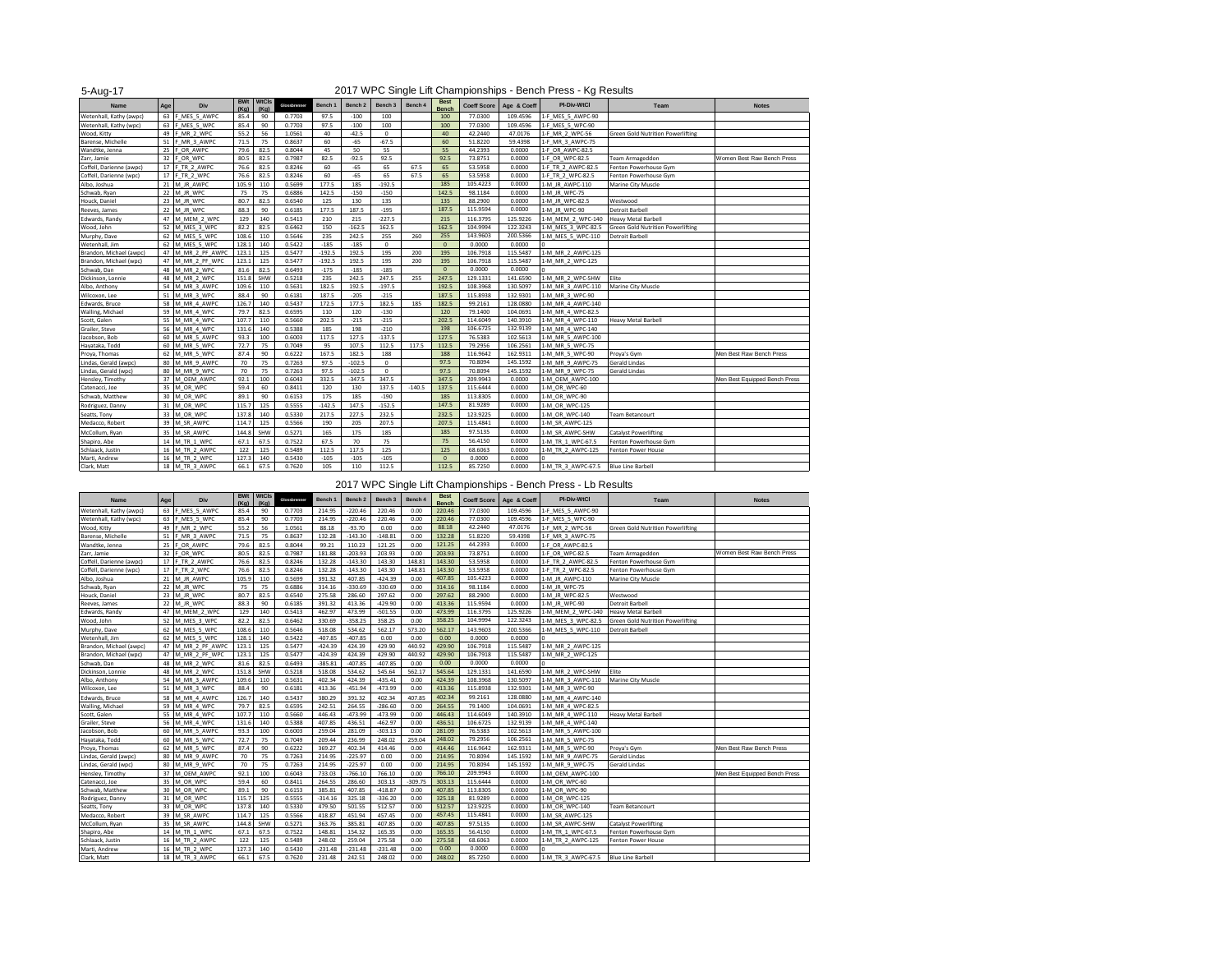| 5-Aug-17                 |     |                   | 2017 WPC Single Lift Championships - Bench Press - Kg Results |                      |              |          |                    |             |          |                             |                    |             |                    |                                          |                               |
|--------------------------|-----|-------------------|---------------------------------------------------------------|----------------------|--------------|----------|--------------------|-------------|----------|-----------------------------|--------------------|-------------|--------------------|------------------------------------------|-------------------------------|
| Name                     | Age | Div               | <b>BWt</b><br>(Ka)                                            | <b>WtCls</b><br>(Kg) | Glossbrenner | Bench 1  | Bench <sub>2</sub> | Bench 3     | Bench 4  | <b>Best</b><br><b>Bench</b> | <b>Coeff Score</b> | Age & Coeff | PI-Div-WtCl        | Team                                     | <b>Notes</b>                  |
| Wetenhall, Kathy (awpc)  |     | 63 F MES 5 AWPC   | 85.4                                                          | 90                   | 0.7703       | 97.5     | $-100$             | 100         |          | 100                         | 77,0300            | 109.4596    | 1-F MES_5_AWPC-90  |                                          |                               |
| Wetenhall, Kathy (wpc)   | 63  | F MES_5_WPC       | 85.4                                                          | 90                   | 0.7703       | 97.5     | $-100$             | 100         |          | 100                         | 77.0300            | 109.4596    | 1-F MES_5_WPC-90   |                                          |                               |
| Wood, Kitty              |     | 49 F MR 2 WPC     | 55.2                                                          | 56                   | 1.0561       | 40       | $-42.5$            | $^{\circ}$  |          | 40                          | 42.2440            | 47.0176     | 1-F MR 2 WPC-56    | <b>Green Gold Nutrition Powerlifting</b> |                               |
| Barense, Michelle        | 51  | F MR 3 AWPC       | 71.5                                                          | 75                   | 0.8637       | 60       | $-65$              | $-67.5$     |          | 60                          | 51.8220            | 59.4398     | 1-F MR 3 AWPC-75   |                                          |                               |
| Wandtke, Jenna           |     | 25 F OR AWPC      | 79.6                                                          | 82.5                 | 0.8044       | 45       | 50                 | 55          |          | 55                          | 44.2393            | 0.0000      | 1-F OR AWPC-82.5   |                                          |                               |
| Zarr, Jamie              |     | 32 F OR WPC       | 80.5                                                          | 82.5                 | 0.7987       | 82.5     | $-92.5$            | 92.5        |          | 92.5                        | 73.8751            | 0.0000      | 1-F OR WPC-82.5    | Team Armageddon                          | Women Best Raw Bench Press    |
| Coffell, Darienne (awpc) |     | 17 F TR 2 AWPC    | 76.6                                                          | 82.5                 | 0.8246       | 60       | $-65$              | 65          | 67.5     | 65                          | 53.5958            | 0.0000      | 1-F TR 2 AWPC-82.5 | Fenton Powerhouse Gym                    |                               |
| Coffell, Darienne (wpc)  |     | 17 F TR 2 WPC     | 76.6                                                          | 82.5                 | 0.8246       | 60       | $-65$              | 65          | 67.5     | 65                          | 53.5958            | 0.0000      | 1-F TR 2 WPC-82.5  | Fenton Powerhouse Gym                    |                               |
| Albo, Joshua             |     | 21 M JR AWPC      | 105.9                                                         | 110                  | 0.5699       | 177.5    | 185                | $-192.5$    |          | 185                         | 105.4223           | 0.0000      | 1-M JR AWPC-110    | Marine City Muscle                       |                               |
| Schwab, Ryan             |     | 22 M JR WPC       | 75                                                            | 75                   | 0.6886       | 142.5    | $-150$             | $-150$      |          | 142.5                       | 98.1184            | 0.0000      | 1-M JR WPC-75      |                                          |                               |
| Houck, Daniel            |     | 23 M JR WPC       | 80.7                                                          | 82.5                 | 0.6540       | 125      | 130                | 135         |          | 135                         | 88.2900            | 0.0000      | 1-M JR WPC-82.5    | Westwood                                 |                               |
| Reeves, James            |     | 22 M JR WPC       | 88.3                                                          | 90                   | 0.6185       | 177.5    | 187.5              | $-195$      |          | 187.5                       | 115,9594           | 0.0000      | 1-M JR WPC-90      | <b>Detroit Barbell</b>                   |                               |
| Edwards, Randy           | 47  | M MEM 2 WPC       | 129                                                           | 140                  | 0.5413       | 210      | 215                | $-227.5$    |          | 215                         | 116.3795           | 125.9226    | 1-M MEM 2 WPC-140  | <b>Heavy Metal Barbell</b>               |                               |
| Wood, John               | 52  | M MES 3 WPC       | 82.2                                                          | 82.5                 | 0.6462       | 150      | $-162.5$           | 162.5       |          | 162.5                       | 104.9994           | 122.3243    | 1-M MES 3 WPC-82.5 | <b>Green Gold Nutrition Powerlifting</b> |                               |
| Murphy, Dave             |     | 62 M MES 5 WPC    | 108.6                                                         | 110                  | 0.5646       | 235      | 242.5              | 255         | 260      | 255                         | 143.9603           | 200.5366    | 1-M MES 5 WPC-110  | <b>Detroit Barbell</b>                   |                               |
| Wetenhall, Jim           |     | 62 M MES 5 WPC    | 128.1                                                         | 140                  | 0.5422       | $-185$   | $-185$             | $^{\circ}$  |          | $\mathbf{0}$                | 0.0000             | 0.0000      |                    |                                          |                               |
| Brandon, Michael (awpc)  |     | 47 M MR 2 PF AWPO | 123.1                                                         | 125                  | 0.5477       | $-192.5$ | 192.5              | 195         | 200      | 195                         | 106.7918           | 115.5487    | 1-M MR 2 AWPC-125  |                                          |                               |
| Brandon, Michael (wpc)   | 47  | M MR 2 PF WPC     | 123.1                                                         | 125                  | 0.5477       | $-192.5$ | 192.5              | 195         | 200      | 195                         | 106.7918           | 115.5487    | 1-M MR 2 WPC-125   |                                          |                               |
| Schwab, Dan              |     | 48 M MR 2 WPC     | 81.6                                                          | 82.5                 | 0.6493       | $-175$   | $-185$             | $-185$      |          | $\mathbf{0}$                | 0.0000             | 0.0000      |                    |                                          |                               |
| Dickinson, Lonnie        | 48  | M MR 2 WPC        | 151.8                                                         | SHW                  | 0.5218       | 235      | 242.5              | 247.5       | 255      | 247.5                       | 129.1331           | 141.6590    | 1-M MR 2 WPC-SHW   | Elite                                    |                               |
| Albo, Anthony            | 54  | M MR 3 AWPC       | 109.6                                                         | 110                  | 0.5631       | 182.5    | 192.5              | $-197.5$    |          | 192.5                       | 108.3968           | 130.5097    | 1-M MR 3 AWPC-110  | Marine City Muscle                       |                               |
| Wilcoxon, Lee            | 51  | M MR 3 WPC        | 88.4                                                          | 90                   | 0.6181       | 187.5    | $-205$             | $-215$      |          | 187.5                       | 115.8938           | 132.9301    | 1-M MR 3 WPC-90    |                                          |                               |
| Edwards, Bruce           | 58  | M MR 4 AWPC       | 126.7                                                         | 140                  | 0.5437       | 172.5    | 177.5              | 182.5       | 185      | 182.5                       | 99.2161            | 128.0880    | 1-M MR 4 AWPC-140  |                                          |                               |
| Walling, Michael         | 59  | M_MR_4_WPC        | 79.7                                                          | 82.5                 | 0.6595       | 110      | 120                | $-130$      |          | 120                         | 79,1400            | 104.0691    | 1-M MR 4 WPC-82.5  |                                          |                               |
| Scott, Galen             | 55  | M MR 4 WPC        | 107.7                                                         | 110                  | 0.5660       | 202.5    | $-215$             | $-215$      |          | 202.5                       | 114.6049           | 140.3910    | 1-M MR 4 WPC-110   | Heavy Metal Barbell                      |                               |
| Grailer, Steve           | 56  | M MR 4 WPC        | 131.6                                                         | 140                  | 0.5388       | 185      | 198                | $-210$      |          | 198                         | 106.6725           | 132.9139    | 1-M MR 4 WPC-140   |                                          |                               |
| Jacobson, Bob            | 60  | M MR 5 AWPC       | 93.3                                                          | 100                  | 0.6003       | 117.5    | 127.5              | $-137.5$    |          | 127.5                       | 76.5383            | 102.5613    | 1-M MR 5 AWPC-100  |                                          |                               |
| Hayataka, Todd           |     | 60 M MR 5 WPC     | 72.7                                                          | 75                   | 0.7049       | 95       | 107.5              | 112.5       | 117.5    | 112.5                       | 79.2956            | 106.2561    | 1-M MR 5 WPC-75    |                                          |                               |
| Proya, Thomas            |     | 62 M MR 5 WPC     | 87.4                                                          | 90                   | 0.6222       | 167.5    | 182.5              | 188         |          | 188                         | 116.9642           | 162.9311    | 1-M MR 5 WPC-90    | Proya's Gym                              | Men Best Raw Bench Press      |
| Lindas, Gerald (awpc)    |     | 80 M MR 9 AWPC    | 70                                                            | 75                   | 0.7263       | 97.5     | $-102.5$           | $\mathbf 0$ |          | 97.5                        | 70.8094            | 145.1592    | 1-M MR 9 AWPC-75   | Gerald Lindas                            |                               |
| Lindas, Gerald (wpc)     | 80  | M MR 9 WPC        | 70                                                            | 75                   | 0.7263       | 97.5     | $-102.5$           | $^{\circ}$  |          | 97.5                        | 70,8094            | 145.1592    | 1-M MR 9 WPC-75    | Gerald Lindas                            |                               |
| Hensley, Timothy         |     | 37 M OEM AWPC     | 92.1                                                          | 100                  | 0.6043       | 332.5    | $-347.5$           | 347.5       |          | 347.5                       | 209.9943           | 0.0000      | 1-M OEM AWPC-100   |                                          | Men Best Equipped Bench Press |
| Catenacci, Joe           |     | 35 M OR WPC       | 59.4                                                          | 60                   | 0.8411       | 120      | 130                | 137.5       | $-140.5$ | 137.5                       | 115.6444           | 0.0000      | 1-M OR WPC-60      |                                          |                               |
| Schwab, Matthew          |     | 30 M OR WPC       | 89.1                                                          | 90                   | 0.6153       | 175      | 185                | $-190$      |          | 185                         | 113.8305           | 0.0000      | 1-M OR WPC-90      |                                          |                               |
| Rodriguez, Danny         | 31  | M OR WPC          | 115.7                                                         | 125                  | 0.5555       | $-142.5$ | 147.5              | $-152.5$    |          | 147.5                       | 81.9289            | 0.0000      | 1-M OR WPC-125     |                                          |                               |
| Seatts, Tony             |     | 33 M OR WPC       | 137.8                                                         | 140                  | 0.5330       | 217.5    | 227.5              | 232.5       |          | 232.5                       | 123.9225           | 0.0000      | 1-M OR WPC-140     | <b>Team Betancourt</b>                   |                               |
| Medacco, Robert          | 39  | M SR AWPC         | 114.7                                                         | 125                  | 0.5566       | 190      | 205                | 207.5       |          | 207.5                       | 115.4841           | 0.0000      | 1-M SR AWPC-125    |                                          |                               |
| McCollum, Ryan           |     | 35 M SR AWPC      | 144.8                                                         | SHW                  | 0.5271       | 165      | 175                | 185         |          | 185                         | 97.5135            | 0.0000      | 1-M SR AWPC-SHW    | <b>Catalyst Powerlifting</b>             |                               |
| Shapiro, Abe             | 14  | M TR_1_WPC        | 67.1                                                          | 67.5                 | 0.7522       | 67.5     | 70                 | 75          |          | 75                          | 56.4150            | 0.0000      | 1-M TR 1 WPC-67.5  | Fenton Powerhouse Gym                    |                               |
| Schlaack, Justin         |     | 16 M TR 2 AWPC    | 122                                                           | 125                  | 0.5489       | 112.5    | 117.5              | 125         |          | 125                         | 68.6063            | 0.0000      | 1-M TR 2 AWPC-125  | <b>Fenton Power House</b>                |                               |
| Marti, Andrew            | 16  | M TR 2 WPC        | 127.3                                                         | 140                  | 0.5430       | $-105$   | $-105$             | $-105$      |          | $\mathbf{0}$                | 0.0000             | 0.0000      |                    |                                          |                               |
| Clark, Matt              |     | 18 M TR 3 AWPC    | 66.1                                                          | 67.5                 | 0.7620       | 105      | 110                | 112.5       |          | 112.5                       | 85.7250            | 0.0000      | 1-M TR 3 AWPC-67.5 | <b>Blue Line Barbell</b>                 |                               |
|                          |     |                   |                                                               |                      |              |          |                    |             |          |                             |                    |             |                    |                                          |                               |

## 2017 WPC Single Lift Championships - Bench Press - Lb Results

| Name                     | Age | Div            | <b>BWt</b><br>(Ka) | WtCls<br>(Ka) | Glossbrenner | Bench 1   | Bench <sub>2</sub> | Bench 3   | Bench 4   | <b>Best</b><br>Bench | <b>Coeff Score</b> | Age & Coeff | <b>PI-Div-WtCl</b> | Team                              | <b>Notes</b>                  |
|--------------------------|-----|----------------|--------------------|---------------|--------------|-----------|--------------------|-----------|-----------|----------------------|--------------------|-------------|--------------------|-----------------------------------|-------------------------------|
| Wetenhall, Kathy (awpc)  | 63  | F MES 5 AWPC   | 85.4               | 90            | 0.7703       | 214.95    | $-220.46$          | 220.46    | 0.00      | 220.46               | 77.0300            | 109.4596    | 1-F MES 5 AWPC-90  |                                   |                               |
| Wetenhall, Kathy (wpc)   | 63  | F MES 5 WPC    | 85.4               | 90            | 0.7703       | 214.95    | $-220.46$          | 220.46    | 0.00      | 220.46               | 77.0300            | 109,4596    | 1-F MES 5 WPC-90   |                                   |                               |
| Wood, Kitty              | 49  | F MR 2 WPC     | 55.2               | 56            | 1.0561       | 88.18     | $-93.70$           | 0.00      | 0.00      | 88.18                | 42.2440            | 47.0176     | 1-F MR 2 WPC-56    | Green Gold Nutrition Powerlifting |                               |
| Barense, Michelle        | 51  | F MR 3 AWPC    | 71.5               | 75            | 0.8637       | 132.28    | $-143.30$          | $-148.81$ | 0.00      | 132.28               | 51.8220            | 59.4398     | 1-F MR 3 AWPC-75   |                                   |                               |
| Wandtke, Jenna           |     | 25 F OR AWPC   | 79.6               | 82.5          | 0.8044       | 99.21     | 110.23             | 121.25    | 0.00      | 121.25               | 44.2393            | 0.0000      | 1-F OR AWPC-82.5   |                                   |                               |
| Zarr, Jamie              | 32  | F OR WPC       | 80.5               | 82.5          | 0.7987       | 181.88    | $-203.93$          | 203.93    | 0.00      | 203.93               | 73.8751            | 0.0000      | 1-F OR WPC-82.5    | <b>Team Armageddon</b>            | Women Best Raw Bench Press    |
| Coffell, Darienne (awpc) | 17  | F TR 2 AWPC    | 76.6               | 82.5          | 0.8246       | 132.28    | $-143.30$          | 143.30    | 148.81    | 143.30               | 53.5958            | 0.0000      | 1-F TR 2 AWPC-82.5 | Fenton Powerhouse Gym             |                               |
| Coffell, Darienne (wpc)  |     | 17 F TR 2 WPC  | 76.6               | 82.5          | 0.8246       | 132.28    | $-143.30$          | 143.30    | 148.81    | 143.30               | 53.5958            | 0.0000      | 1-F TR 2 WPC-82.5  | Fenton Powerhouse Gym             |                               |
| Albo, Joshua             |     | 21 M_JR_AWPC   | 105.9              | 110           | 0.5699       | 391.32    | 407.85             | $-424.39$ | 0.00      | 407.85               | 105.4223           | 0.0000      | 1-M JR AWPC-110    | Marine City Muscle                |                               |
| Schwab, Ryan             |     | 22 M JR WPC    | 75                 | 75            | 0.6886       | 314.16    | $-330.69$          | $-330.69$ | 0.00      | 314.16               | 98.1184            | 0.0000      | 1-M JR WPC-75      |                                   |                               |
| Houck, Daniel            |     | 23 M JR WPC    | 80.7               | 82.5          | 0.6540       | 275.58    | 286.60             | 297.62    | 0.00      | 297.62               | 88,2900            | 0.0000      | 1-M JR WPC-82.5    | Westwood                          |                               |
| Reeves, James            |     | 22 M JR WPC    | 88.3               | 90            | 0.6185       | 391.32    | 413.36             | $-429.90$ | 0.00      | 413.36               | 115,9594           | 0.0000      | 1-M JR WPC-90      | Detroit Barbell                   |                               |
| Edwards, Randy           | 47  | M MEM 2 WPC    | 129                | 140           | 0.5413       | 462.97    | 473.99             | $-501.55$ | 0.00      | 473.99               | 116.3795           | 125.9226    | 1-M MEM 2 WPC-140  | <b>Heavy Metal Barbell</b>        |                               |
| Wood, John               | 52  | M MES_3_WPC    | 82.2               | 82.5          | 0.6462       | 330.69    | $-358.25$          | 358.25    | 0.00      | 358.25               | 104.9994           | 122.3243    | 1-M MES 3 WPC-82.5 | Green Gold Nutrition Powerlifting |                               |
| Murphy, Dave             |     | 62 M MES 5 WPC | 108.6              | 110           | 0.5646       | 518.08    | 534.62             | 562.17    | 573.20    | 562.17               | 143.9603           | 200.5366    | 1-M MES 5 WPC-110  | Detroit Barbell                   |                               |
| Wetenhall, Jim           | 62  | M MES 5 WPC    | 128.1              | 140           | 0.5422       | $-407.85$ | $-407.85$          | 0.00      | 0.00      | 0.00                 | 0.0000             | 0.0000      |                    |                                   |                               |
| Brandon, Michael (awpc)  | 47  | M MR 2 PF AWP  | 123.1              | 125           | 0.5477       | $-424.39$ | 424.39             | 429.90    | 440.92    | 429.90               | 106.7918           | 115.5487    | 1-M MR 2 AWPC-125  |                                   |                               |
| Brandon, Michael (wpc)   | 47  | M MR 2 PF WPC  | 123.1              | 125           | 0.5477       | $-424.39$ | 424.39             | 429.90    | 440.92    | 429.90               | 106.7918           | 115.5487    | 1-M MR 2 WPC-125   |                                   |                               |
| Schwab, Dan              |     | 48 M MR 2 WPC  | 81.6               | 82.5          | 0.6493       | $-385.81$ | $-407.85$          | $-407.85$ | 0.00      | 0.00                 | 0.0000             | 0.0000      |                    |                                   |                               |
| Dickinson, Lonnie        | 48  | M MR 2 WPC     | 151.8              | SHW           | 0.5218       | 518.08    | 534.62             | 545.64    | 562.17    | 545.64               | 129.1331           | 141.6590    | 1-M MR 2 WPC-SHW   | Elite                             |                               |
| Albo, Anthony            | 54  | M MR 3 AWPC    | 109.6              | 110           | 0.5631       | 402.34    | 424.39             | $-435.41$ | 0.00      | 424.39               | 108.3968           | 130.5097    | 1-M MR 3 AWPC-110  | Marine City Muscle                |                               |
| Wilcoxon, Lee            |     | 51 M MR 3 WPC  | 88.4               | 90            | 0.6181       | 413.36    | $-451.94$          | -473.99   | 0.00      | 413.36               | 115.8938           | 132.9301    | 1-M MR 3 WPC-90    |                                   |                               |
| Edwards, Bruce           | 58  | M MR 4 AWPC    | 126.7              | 140           | 0.5437       | 380.29    | 391.32             | 402.34    | 407.85    | 402.34               | 99.2161            | 128,0880    | 1-M MR 4 AWPC-140  |                                   |                               |
| Walling, Michael         |     | 59 M MR 4 WPC  | 79.7               | 82.5          | 0.6595       | 242.51    | 264.55             | $-286.60$ | 0.00      | 264.55               | 79.1400            | 104.0691    | 1-M MR 4 WPC-82.5  |                                   |                               |
| Scott, Galen             |     | 55 M MR 4 WPC  | 107.7              | 110           | 0.5660       | 446.43    | $-473.99$          | -473.99   | 0.00      | 446.43               | 114.6049           | 140,3910    | 1-M MR 4 WPC-110   | <b>Heavy Metal Barbell</b>        |                               |
| Grailer, Steve           | 56  | M MR 4 WPC     | 131.6              | 140           | 0.5388       | 407.85    | 436.51             | $-462.97$ | 0.00      | 436.51               | 106.6725           | 132.9139    | 1-M MR 4 WPC-140   |                                   |                               |
| Jacobson, Bob            |     | 60 M MR 5 AWPC | 93.3               | 100           | 0.6003       | 259.04    | 281.09             | $-303.13$ | 0.00      | 281.09               | 76.5383            | 102.5613    | 1-M MR 5 AWPC-100  |                                   |                               |
| Hayataka, Todd           |     | 60 M MR 5 WPC  | 72.7               | 75            | 0.7049       | 209.44    | 236.99             | 248.02    | 259.04    | 248.02               | 79.2956            | 106.2561    | 1-M MR 5 WPC-75    |                                   |                               |
| Proya, Thomas            |     | 62 M MR 5 WPC  | 87.4               | 90            | 0.6222       | 369.27    | 402.34             | 414.46    | 0.00      | 414.46               | 116.9642           | 162.9311    | 1-M MR 5 WPC-90    | Prova's Gym                       | Men Best Raw Bench Press      |
| Lindas, Gerald (awpc)    |     | 80 M MR 9 AWPC | 70                 | 75            | 0.7263       | 214.95    | $-225.97$          | 0.00      | 0.00      | 214.95               | 70.8094            | 145.1592    | 1-M MR 9 AWPC-75   | Gerald Lindas                     |                               |
| Lindas, Gerald (wpc)     |     | 80 M MR 9 WPC  | 70                 | 75            | 0.7263       | 214.95    | $-225.97$          | 0.00      | 0.00      | 214.95               | 70.8094            | 145.1592    | 1-M MR 9 WPC-75    | Gerald Lindas                     |                               |
| Hensley, Timothy         |     | 37 M OEM AWPC  | 92.1               | 100           | 0.6043       | 733.03    | $-766.10$          | 766.10    | 0.00      | 766.10               | 209.9943           | 0.0000      | 1-M OEM AWPC-100   |                                   | Men Best Equipped Bench Press |
| Catenacci, Joe           |     | 35 M OR WPC    | 59.4               | 60            | 0.8411       | 264.55    | 286.60             | 303.13    | $-309.75$ | 303.13               | 115.6444           | 0.0000      | 1-M OR WPC-60      |                                   |                               |
| Schwab, Matthew          |     | 30 M OR WPC    | 89.1               | 90            | 0.6153       | 385.81    | 407.85             | $-418.87$ | 0.00      | 407.85               | 113.8305           | 0.0000      | 1-M OR WPC-90      |                                   |                               |
| Rodriguez, Danny         |     | 31 M OR WPC    | 115.7              | 125           | 0.5555       | $-314.16$ | 325.18             | $-336.20$ | 0.00      | 325.18               | 81.9289            | 0.0000      | 1-M OR WPC-125     |                                   |                               |
| Seatts, Tony             |     | 33 M OR WPC    | 137.8              | 140           | 0.5330       | 479.50    | 501.55             | 512.57    | 0.00      | 512.57               | 123.9225           | 0.0000      | 1-M OR WPC-140     | <b>Team Betancourt</b>            |                               |
| Medacco, Robert          |     | 39 M SR AWPC   | 114.7              | 125           | 0.5566       | 418.87    | 451.94             | 457.45    | 0.00      | 457.45               | 115.4841           | 0.0000      | 1-M_SR_AWPC-125    |                                   |                               |
| McCollum, Ryan           |     | 35 M SR AWPC   | 144.8              | SHW           | 0.5271       | 363.76    | 385.81             | 407.85    | 0.00      | 407.85               | 97.5135            | 0.0000      | 1-M SR AWPC-SHW    | <b>Catalyst Powerlifting</b>      |                               |
| Shapiro, Abe             |     | 14 M TR 1 WPC  | 67.1               | 67.5          | 0.7522       | 148.81    | 154.32             | 165.35    | 0.00      | 165.35               | 56.4150            | 0.0000      | 1-M TR 1 WPC-67.5  | Fenton Powerhouse Gym             |                               |
| Schlaack, Justin         |     | 16 M TR 2 AWPC | 122                | 125           | 0.5489       | 248.02    | 259.04             | 275.58    | 0.00      | 275.58               | 68,6063            | 0.0000      | 1-M_TR_2_AWPC-125  | <b>Fenton Power House</b>         |                               |
| Marti, Andrew            |     | 16 M TR 2 WPC  | 127.3              | 140           | 0.5430       | $-231.48$ | $-231.48$          | $-231.48$ | 0.00      | 0.00                 | 0.0000             | 0.0000      |                    |                                   |                               |
| Clark, Matt              |     | 18 M TR 3 AWPC | 66.1               | 67.5          | 0.7620       | 231.48    | 242.51             | 248.02    | 0.00      | 248.02               | 85.7250            | 0.0000      | 1-M TR 3 AWPC-67.5 | <b>Blue Line Barbell</b>          |                               |